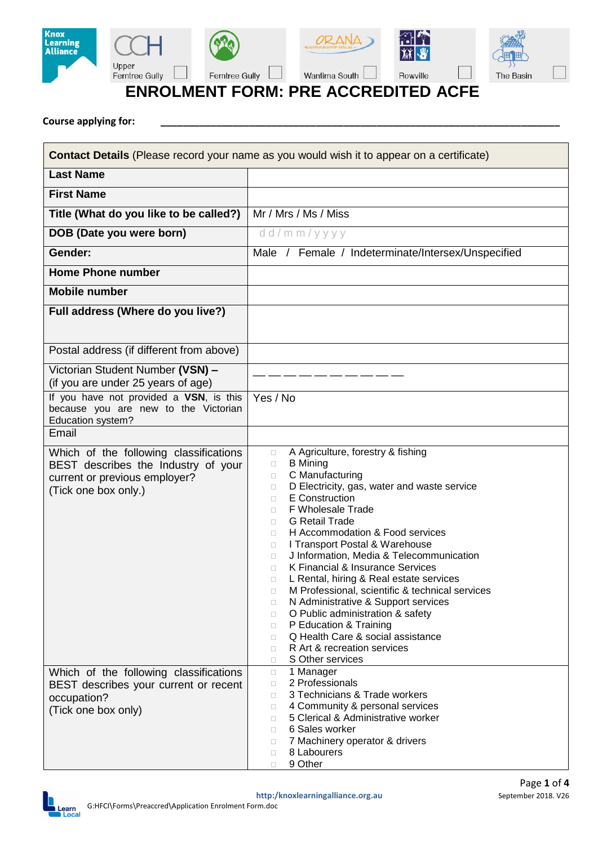

**Course applying for: \_\_\_\_\_\_\_\_\_\_\_\_\_\_\_\_\_\_\_\_\_\_\_\_\_\_\_\_\_\_\_\_\_\_\_\_\_\_\_\_\_\_\_\_\_\_\_\_\_\_\_\_\_\_\_\_\_\_\_\_\_\_\_\_\_\_\_\_\_\_\_\_**

| <b>Contact Details</b> (Please record your name as you would wish it to appear on a certificate)                                       |                                                                                                                                                                                                                                                                                                                                                                                                                                                                                                                                                                                                                                                                                                                                                             |  |  |  |
|----------------------------------------------------------------------------------------------------------------------------------------|-------------------------------------------------------------------------------------------------------------------------------------------------------------------------------------------------------------------------------------------------------------------------------------------------------------------------------------------------------------------------------------------------------------------------------------------------------------------------------------------------------------------------------------------------------------------------------------------------------------------------------------------------------------------------------------------------------------------------------------------------------------|--|--|--|
| <b>Last Name</b>                                                                                                                       |                                                                                                                                                                                                                                                                                                                                                                                                                                                                                                                                                                                                                                                                                                                                                             |  |  |  |
| <b>First Name</b>                                                                                                                      |                                                                                                                                                                                                                                                                                                                                                                                                                                                                                                                                                                                                                                                                                                                                                             |  |  |  |
| Title (What do you like to be called?)                                                                                                 | Mr / Mrs / Ms / Miss                                                                                                                                                                                                                                                                                                                                                                                                                                                                                                                                                                                                                                                                                                                                        |  |  |  |
| DOB (Date you were born)                                                                                                               | dd/mm/yyyy                                                                                                                                                                                                                                                                                                                                                                                                                                                                                                                                                                                                                                                                                                                                                  |  |  |  |
| Gender:                                                                                                                                | Male / Female / Indeterminate/Intersex/Unspecified                                                                                                                                                                                                                                                                                                                                                                                                                                                                                                                                                                                                                                                                                                          |  |  |  |
| <b>Home Phone number</b>                                                                                                               |                                                                                                                                                                                                                                                                                                                                                                                                                                                                                                                                                                                                                                                                                                                                                             |  |  |  |
| <b>Mobile number</b>                                                                                                                   |                                                                                                                                                                                                                                                                                                                                                                                                                                                                                                                                                                                                                                                                                                                                                             |  |  |  |
| Full address (Where do you live?)                                                                                                      |                                                                                                                                                                                                                                                                                                                                                                                                                                                                                                                                                                                                                                                                                                                                                             |  |  |  |
| Postal address (if different from above)                                                                                               |                                                                                                                                                                                                                                                                                                                                                                                                                                                                                                                                                                                                                                                                                                                                                             |  |  |  |
| Victorian Student Number (VSN) -<br>(if you are under 25 years of age)                                                                 |                                                                                                                                                                                                                                                                                                                                                                                                                                                                                                                                                                                                                                                                                                                                                             |  |  |  |
| If you have not provided a VSN, is this<br>because you are new to the Victorian<br>Education system?                                   | Yes / No                                                                                                                                                                                                                                                                                                                                                                                                                                                                                                                                                                                                                                                                                                                                                    |  |  |  |
| Email                                                                                                                                  |                                                                                                                                                                                                                                                                                                                                                                                                                                                                                                                                                                                                                                                                                                                                                             |  |  |  |
| Which of the following classifications<br>BEST describes the Industry of your<br>current or previous employer?<br>(Tick one box only.) | A Agriculture, forestry & fishing<br>$\Box$<br><b>B</b> Mining<br>0<br>C Manufacturing<br>0<br>D Electricity, gas, water and waste service<br>0<br>E Construction<br>0<br><b>F Wholesale Trade</b><br>n<br><b>G</b> Retail Trade<br>0<br>H Accommodation & Food services<br>0<br>I Transport Postal & Warehouse<br>0<br>J Information, Media & Telecommunication<br>0<br>K Financial & Insurance Services<br>n<br>L Rental, hiring & Real estate services<br>о<br>M Professional, scientific & technical services<br>0<br>N Administrative & Support services<br>0<br>O Public administration & safety<br>$\Box$<br>P Education & Training<br>$\Box$<br>Q Health Care & social assistance<br>0<br>R Art & recreation services<br>0<br>S Other services<br>0 |  |  |  |
| Which of the following classifications<br>BEST describes your current or recent<br>occupation?<br>(Tick one box only)                  | 1 Manager<br>$\Box$<br>2 Professionals<br>0<br>3 Technicians & Trade workers<br>0<br>4 Community & personal services<br>0<br>5 Clerical & Administrative worker<br>0<br>6 Sales worker<br>0<br>7 Machinery operator & drivers<br>0<br>8 Labourers<br>0<br>9 Other<br>$\Box$                                                                                                                                                                                                                                                                                                                                                                                                                                                                                 |  |  |  |

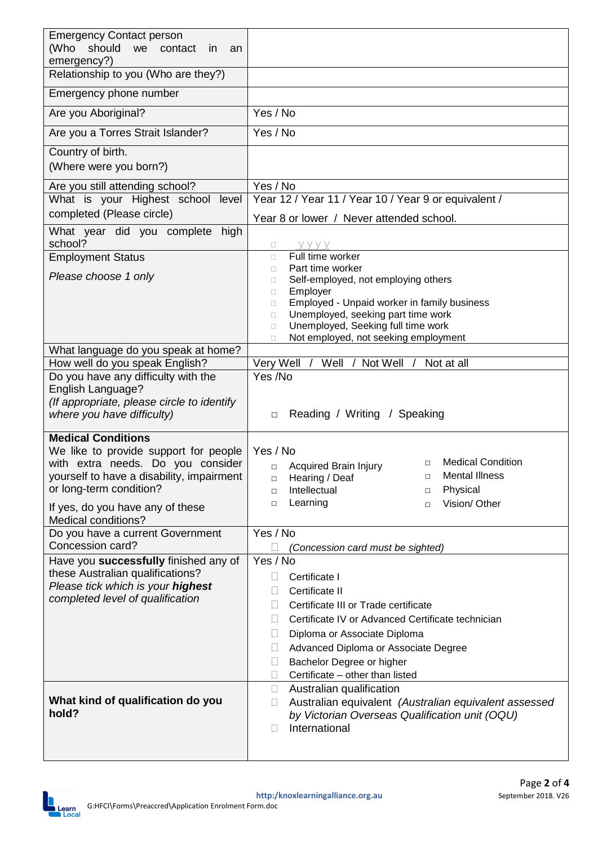| <b>Emergency Contact person</b><br>(Who should<br>we contact<br><i>in</i><br>an<br>emergency?) |                                                                                                       |  |  |
|------------------------------------------------------------------------------------------------|-------------------------------------------------------------------------------------------------------|--|--|
| Relationship to you (Who are they?)                                                            |                                                                                                       |  |  |
| Emergency phone number                                                                         |                                                                                                       |  |  |
| Are you Aboriginal?                                                                            | Yes / No                                                                                              |  |  |
| Are you a Torres Strait Islander?                                                              | Yes / No                                                                                              |  |  |
| Country of birth.<br>(Where were you born?)                                                    |                                                                                                       |  |  |
| Are you still attending school?                                                                | Yes / No                                                                                              |  |  |
| What is your Highest school level                                                              | Year 12 / Year 11 / Year 10 / Year 9 or equivalent /                                                  |  |  |
| completed (Please circle)                                                                      | Year 8 or lower / Never attended school.                                                              |  |  |
| What year did you complete<br>high<br>school?                                                  | y y y y<br>о                                                                                          |  |  |
| <b>Employment Status</b>                                                                       | Full time worker<br>$\Box$                                                                            |  |  |
| Please choose 1 only                                                                           | Part time worker<br>0<br>Self-employed, not employing others<br>0                                     |  |  |
|                                                                                                | Employer<br>$\Box$                                                                                    |  |  |
|                                                                                                | Employed - Unpaid worker in family business<br>$\Box$<br>Unemployed, seeking part time work<br>$\Box$ |  |  |
|                                                                                                | Unemployed, Seeking full time work<br>о                                                               |  |  |
|                                                                                                | Not employed, not seeking employment<br>Ω                                                             |  |  |
| What language do you speak at home?<br>How well do you speak English?                          | Very Well /<br>Well / Not Well /<br>Not at all                                                        |  |  |
| Do you have any difficulty with the                                                            | Yes /No                                                                                               |  |  |
| English Language?                                                                              |                                                                                                       |  |  |
| (If appropriate, please circle to identify<br>where you have difficulty)                       | Reading / Writing / Speaking<br>$\Box$                                                                |  |  |
|                                                                                                |                                                                                                       |  |  |
| <b>Medical Conditions</b><br>We like to provide support for people                             | Yes / No                                                                                              |  |  |
| with extra needs. Do you consider                                                              | <b>Medical Condition</b><br>$\Box$<br><b>Acquired Brain Injury</b><br>$\Box$                          |  |  |
| yourself to have a disability, impairment                                                      | Mental Illness<br>□ Hearing / Deaf<br>$\Box$                                                          |  |  |
| or long-term condition?                                                                        | Physical<br>Intellectual<br>$\Box$<br>□                                                               |  |  |
| If yes, do you have any of these                                                               | Learning<br>Vision/ Other<br>□<br>$\Box$                                                              |  |  |
| Medical conditions?<br>Do you have a current Government                                        | Yes / No                                                                                              |  |  |
| Concession card?                                                                               | Ш<br>(Concession card must be sighted)                                                                |  |  |
| Have you successfully finished any of                                                          | Yes / No                                                                                              |  |  |
| these Australian qualifications?<br>Please tick which is your highest                          | Certificate I                                                                                         |  |  |
| completed level of qualification                                                               | Certificate II                                                                                        |  |  |
|                                                                                                | Certificate III or Trade certificate                                                                  |  |  |
|                                                                                                | Certificate IV or Advanced Certificate technician<br>Diploma or Associate Diploma                     |  |  |
|                                                                                                | Advanced Diploma or Associate Degree<br>Ш                                                             |  |  |
|                                                                                                | Bachelor Degree or higher                                                                             |  |  |
|                                                                                                | Certificate - other than listed<br>$\Box$                                                             |  |  |
| What kind of qualification do you                                                              | Australian qualification<br>$\Box$<br>Australian equivalent (Australian equivalent assessed           |  |  |
| hold?                                                                                          | ⊔<br>by Victorian Overseas Qualification unit (OQU)                                                   |  |  |
|                                                                                                | International<br>П                                                                                    |  |  |
|                                                                                                |                                                                                                       |  |  |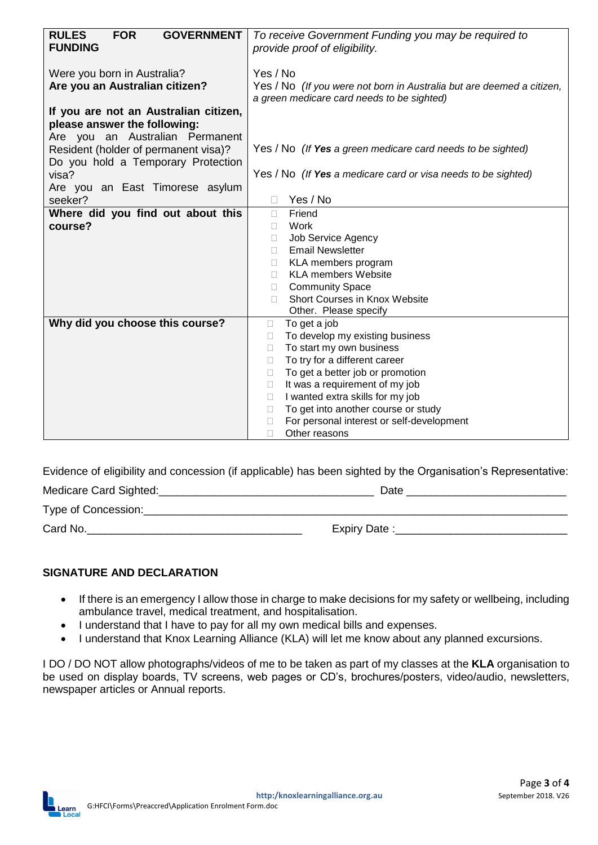| <b>RULES</b><br><b>GOVERNMENT</b><br><b>FOR</b> | To receive Government Funding you may be required to                                         |  |  |
|-------------------------------------------------|----------------------------------------------------------------------------------------------|--|--|
| <b>FUNDING</b>                                  | provide proof of eligibility.                                                                |  |  |
|                                                 |                                                                                              |  |  |
| Were you born in Australia?                     | Yes / No                                                                                     |  |  |
| Are you an Australian citizen?                  | Yes / No (If you were not born in Australia but are deemed a citizen,                        |  |  |
|                                                 | a green medicare card needs to be sighted)                                                   |  |  |
| If you are not an Australian citizen,           |                                                                                              |  |  |
| please answer the following:                    |                                                                                              |  |  |
| Are you an Australian Permanent                 |                                                                                              |  |  |
| Resident (holder of permanent visa)?            | Yes / No (If Yes a green medicare card needs to be sighted)                                  |  |  |
| Do you hold a Temporary Protection              |                                                                                              |  |  |
| visa?                                           | Yes / No (If Yes a medicare card or visa needs to be sighted)                                |  |  |
| Are you an East Timorese asylum                 |                                                                                              |  |  |
| seeker?                                         | Yes / No                                                                                     |  |  |
| Where did you find out about this               | Friend<br>$\Box$                                                                             |  |  |
| course?                                         | Work<br>□                                                                                    |  |  |
|                                                 | <b>Job Service Agency</b><br>□                                                               |  |  |
|                                                 | <b>Email Newsletter</b><br>П                                                                 |  |  |
|                                                 | KLA members program<br>П                                                                     |  |  |
|                                                 | <b>KLA members Website</b><br>П.                                                             |  |  |
|                                                 | <b>Community Space</b><br>П                                                                  |  |  |
|                                                 | Short Courses in Knox Website<br>П                                                           |  |  |
|                                                 | Other. Please specify                                                                        |  |  |
| Why did you choose this course?                 | To get a job<br>$\Box$                                                                       |  |  |
|                                                 | To develop my existing business<br>П                                                         |  |  |
|                                                 | To start my own business<br>П                                                                |  |  |
|                                                 | To try for a different career<br>П                                                           |  |  |
|                                                 | To get a better job or promotion<br>$\Box$                                                   |  |  |
|                                                 | It was a requirement of my job<br>$\Box$                                                     |  |  |
|                                                 | I wanted extra skills for my job<br>$\mathbf{L}$<br>To get into another course or study<br>П |  |  |
|                                                 | For personal interest or self-development                                                    |  |  |
|                                                 | $\mathbf{L}$<br>Other reasons<br>П                                                           |  |  |
|                                                 |                                                                                              |  |  |

Evidence of eligibility and concession (if applicable) has been sighted by the Organisation's Representative:

| Medicare Card Sighted: | Date         |
|------------------------|--------------|
| Type of Concession:    |              |
| Card No.               | Expiry Date: |

## **SIGNATURE AND DECLARATION**

- If there is an emergency I allow those in charge to make decisions for my safety or wellbeing, including ambulance travel, medical treatment, and hospitalisation.
- I understand that I have to pay for all my own medical bills and expenses.
- I understand that Knox Learning Alliance (KLA) will let me know about any planned excursions.

I DO / DO NOT allow photographs/videos of me to be taken as part of my classes at the **KLA** organisation to be used on display boards, TV screens, web pages or CD's, brochures/posters, video/audio, newsletters, newspaper articles or Annual reports.